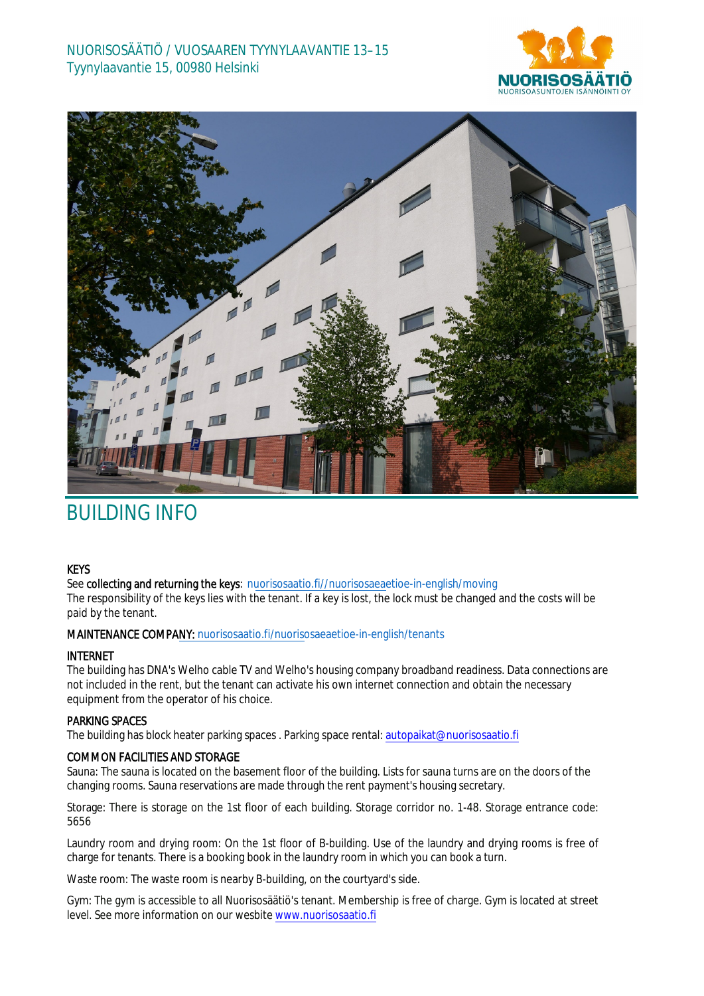



# BUILDING INFO

## **KEYS**

See **collecting and returning the keys**: [nuorisosaatio.fi//nuorisosaeae](http://www.nuorisosaatio.fi/muuttajalle)tioe-in-english/moving The responsibility of the keys lies with the tenant. If a key is lost, the lock must be changed and the costs will be paid by the tenant.

## MAINTENANCE COMPANY: [nuorisosaatio.fi/nuoriso](http://www.nuorisosaatio.fi/asukkaalle)saeaetioe-in-english/tenants

## INTERNET

The building has DNA's Welho cable TV and Welho's housing company broadband readiness. Data connections are not included in the rent, but the tenant can activate his own internet connection and obtain the necessary equipment from the operator of his choice.

## PARKING SPACES

The building has block heater parking spaces . Parking space rental: autopaikat@nuorisosaatio.fi

## COMMON FACILITIES AND STORAGE

Sauna: The sauna is located on the basement floor of the building. Lists for sauna turns are on the doors of the changing rooms. Sauna reservations are made through the rent payment's housing secretary.

Storage: There is storage on the 1st floor of each building. Storage corridor no. 1-48. Storage entrance code: 5656

Laundry room and drying room: On the 1st floor of B-building. Use of the laundry and drying rooms is free of charge for tenants. There is a booking book in the laundry room in which you can book a turn.

Waste room: The waste room is nearby B-building, on the courtyard's side.

Gym: The gym is accessible to all Nuorisosäätiö's tenant. Membership is free of charge. Gym is located at street level. See more information on our wesbite www.nuorisosaatio.fi